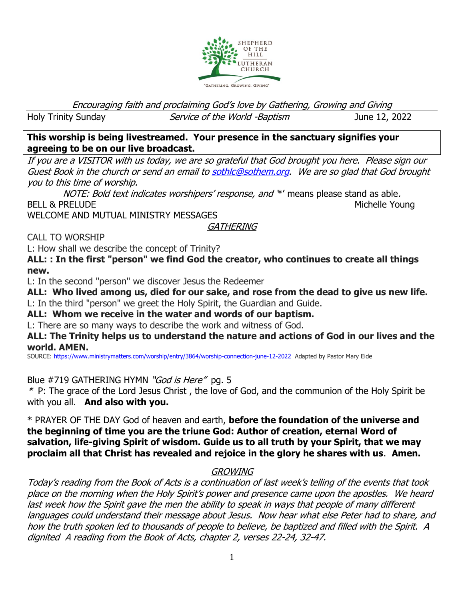

Encouraging faith and proclaiming God's love by Gathering, Growing and Giving

Holy Trinity Sunday Service of the World -Baptism June 12, 2022

**This worship is being livestreamed. Your presence in the sanctuary signifies your agreeing to be on our live broadcast.** 

If you are a VISITOR with us today, we are so grateful that God brought you here. Please sign our Guest Book in the church or send an email t[o sothlc@sothem.org.](mailto:sothlc@sothem.org) We are so glad that God brought you to this time of worship.

NOTE: Bold text indicates worshipers' response, and \*' means please stand as able. BELL & PRELUDE Northern Michelle Young

WELCOME AND MUTUAL MINISTRY MESSAGES

**GATHERING** 

CALL TO WORSHIP

L: How shall we describe the concept of Trinity?

**ALL: : In the first "person" we find God the creator, who continues to create all things new.**

L: In the second "person" we discover Jesus the Redeemer

**ALL: Who lived among us, died for our sake, and rose from the dead to give us new life.** L: In the third "person" we greet the Holy Spirit, the Guardian and Guide.

**ALL: Whom we receive in the water and words of our baptism.**

L: There are so many ways to describe the work and witness of God.

**ALL: The Trinity helps us to understand the nature and actions of God in our lives and the world. AMEN.**

SOURCE: <https://www.ministrymatters.com/worship/entry/3864/worship-connection-june-12-2022>Adapted by Pastor Mary Eide

Blue #719 GATHERING HYMN "God is Here" pg. 5

\* P: The grace of the Lord Jesus Christ , the love of God, and the communion of the Holy Spirit be with you all. **And also with you.**

\* PRAYER OF THE DAY God of heaven and earth, **before the foundation of the universe and the beginning of time you are the triune God: Author of creation, eternal Word of salvation, life-giving Spirit of wisdom. Guide us to all truth by your Spirit, that we may proclaim all that Christ has revealed and rejoice in the glory he shares with us**. **Amen.**

# GROWING

Today's reading from the Book of Acts is a continuation of last week's telling of the events that took place on the morning when the Holy Spirit's power and presence came upon the apostles. We heard last week how the Spirit gave the men the ability to speak in ways that people of many different languages could understand their message about Jesus. Now hear what else Peter had to share, and how the truth spoken led to thousands of people to believe, be baptized and filled with the Spirit. A dignited A reading from the Book of Acts, chapter 2, verses 22-24, 32-47.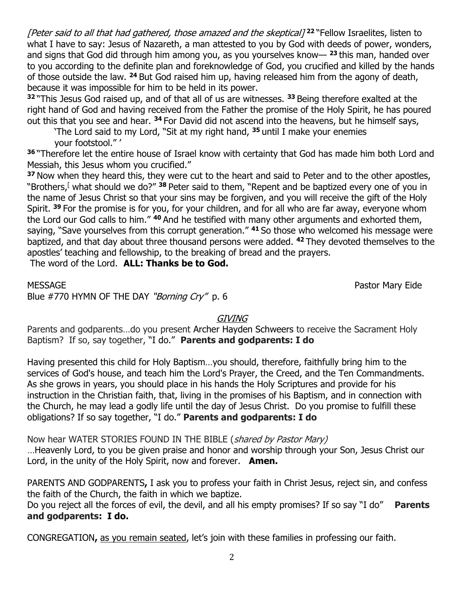[Peter said to all that had gathered, those amazed and the skeptical] **<sup>22</sup>** "Fellow Israelites, listen to what I have to say: Jesus of Nazareth, a man attested to you by God with deeds of power, wonders, and signs that God did through him among you, as you yourselves know— **<sup>23</sup>** this man, handed over to you according to the definite plan and foreknowledge of God, you crucified and killed by the hands of those outside the law. **<sup>24</sup>** But God raised him up, having released him from the agony of death, because it was impossible for him to be held in its power.

**<sup>32</sup>** "This Jesus God raised up, and of that all of us are witnesses. **<sup>33</sup>** Being therefore exalted at the right hand of God and having received from the Father the promise of the Holy Spirit, he has poured out this that you see and hear. **<sup>34</sup>** For David did not ascend into the heavens, but he himself says,

'The Lord said to my Lord, "Sit at my right hand, **<sup>35</sup>** until I make your enemies your footstool." '

**<sup>36</sup>** "Therefore let the entire house of Israel know with certainty that God has made him both Lord and Messiah, this Jesus whom you crucified."

**<sup>37</sup>** Now when they heard this, they were cut to the heart and said to Peter and to the other apostles, "Brothers,<sup>[</sup> what should we do?" <sup>38</sup> Peter said to them, "Repent and be baptized every one of you in the name of Jesus Christ so that your sins may be forgiven, and you will receive the gift of the Holy Spirit. **<sup>39</sup>** For the promise is for you, for your children, and for all who are far away, everyone whom the Lord our God calls to him." **<sup>40</sup>** And he testified with many other arguments and exhorted them, saying, "Save yourselves from this corrupt generation." **<sup>41</sup>** So those who welcomed his message were baptized, and that day about three thousand persons were added. **<sup>42</sup>** They devoted themselves to the apostles' teaching and fellowship, to the breaking of bread and the prayers.

The word of the Lord. **ALL: Thanks be to God.**

MESSAGE Pastor Mary Eide

Blue #770 HYMN OF THE DAY "Borning Cry" p. 6

## GIVING

Parents and godparents…do you present Archer Hayden Schweers to receive the Sacrament Holy Baptism? If so, say together, "I do." **Parents and godparents: I do**

Having presented this child for Holy Baptism…you should, therefore, faithfully bring him to the services of God's house, and teach him the Lord's Prayer, the Creed, and the Ten Commandments. As she grows in years, you should place in his hands the Holy Scriptures and provide for his instruction in the Christian faith, that, living in the promises of his Baptism, and in connection with the Church, he may lead a godly life until the day of Jesus Christ. Do you promise to fulfill these obligations? If so say together, "I do." **Parents and godparents: I do**

Now hear WATER STORIES FOUND IN THE BIBLE (shared by Pastor Mary) …Heavenly Lord, to you be given praise and honor and worship through your Son, Jesus Christ our Lord, in the unity of the Holy Spirit, now and forever. **Amen.**

PARENTS AND GODPARENTS**,** I ask you to profess your faith in Christ Jesus, reject sin, and confess the faith of the Church, the faith in which we baptize.

Do you reject all the forces of evil, the devil, and all his empty promises? If so say "I do" **Parents and godparents: I do.**

CONGREGATION**,** as you remain seated, let's join with these families in professing our faith.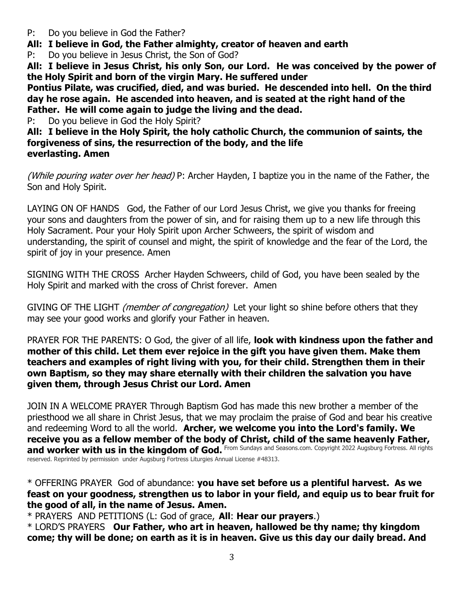- P: Do you believe in God the Father?
- **All: I believe in God, the Father almighty, creator of heaven and earth**
- P: Do you believe in Jesus Christ, the Son of God?

**All: I believe in Jesus Christ, his only Son, our Lord. He was conceived by the power of the Holy Spirit and born of the virgin Mary. He suffered under** 

**Pontius Pilate, was crucified, died, and was buried. He descended into hell. On the third day he rose again. He ascended into heaven, and is seated at the right hand of the Father. He will come again to judge the living and the dead.**

P: Do you believe in God the Holy Spirit?

**All: I believe in the Holy Spirit, the holy catholic Church, the communion of saints, the forgiveness of sins, the resurrection of the body, and the life everlasting. Amen**

(While pouring water over her head) P: Archer Hayden, I baptize you in the name of the Father, the Son and Holy Spirit.

LAYING ON OF HANDSGod, the Father of our Lord Jesus Christ, we give you thanks for freeing your sons and daughters from the power of sin, and for raising them up to a new life through this Holy Sacrament. Pour your Holy Spirit upon Archer Schweers, the spirit of wisdom and understanding, the spirit of counsel and might, the spirit of knowledge and the fear of the Lord, the spirit of joy in your presence. Amen

SIGNING WITH THE CROSS Archer Hayden Schweers, child of God, you have been sealed by the Holy Spirit and marked with the cross of Christ forever. Amen

GIVING OF THE LIGHT *(member of congregation)* Let your light so shine before others that they may see your good works and glorify your Father in heaven.

PRAYER FOR THE PARENTS: O God, the giver of all life, **look with kindness upon the father and mother of this child. Let them ever rejoice in the gift you have given them. Make them teachers and examples of right living with you, for their child. Strengthen them in their own Baptism, so they may share eternally with their children the salvation you have given them, through Jesus Christ our Lord. Amen**

JOIN IN A WELCOME PRAYER Through Baptism God has made this new brother a member of the priesthood we all share in Christ Jesus, that we may proclaim the praise of God and bear his creative and redeeming Word to all the world. **Archer, we welcome you into the Lord's family. We receive you as a fellow member of the body of Christ, child of the same heavenly Father,**  and worker with us in the kingdom of God. From Sundays and Seasons.com. Copyright 2022 Augsburg Fortress. All rights reserved. Reprinted by permission under Augsburg Fortress Liturgies Annual License #48313.

\* OFFERING PRAYER God of abundance: **you have set before us a plentiful harvest. As we feast on your goodness, strengthen us to labor in your field, and equip us to bear fruit for the good of all, in the name of Jesus. Amen.**

\* PRAYERS AND PETITIONS (L: God of grace, **All**: **Hear our prayers**.)

\* LORD'S PRAYERS **Our Father, who art in heaven, hallowed be thy name; thy kingdom come; thy will be done; on earth as it is in heaven. Give us this day our daily bread. And**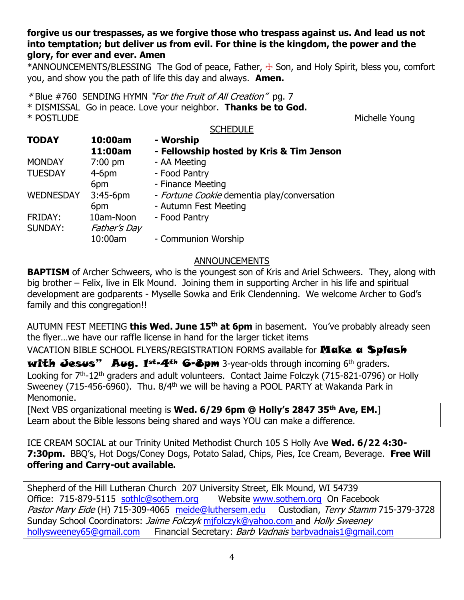## **forgive us our trespasses, as we forgive those who trespass against us. And lead us not into temptation; but deliver us from evil. For thine is the kingdom, the power and the glory, for ever and ever. Amen**

 $*$ ANNOUNCEMENTS/BLESSING The God of peace, Father,  $+$  Son, and Holy Spirit, bless you, comfort you, and show you the path of life this day and always. **Amen.**

\* Blue #760 SENDING HYMN "For the Fruit of All Creation" pg. 7

\* DISMISSAL Go in peace. Love your neighbor. **Thanks be to God.** \* POSTLUDE Michelle Young

#### **SCHEDULE**

| <b>TODAY</b>     | 10:00am             | - Worship                                   |
|------------------|---------------------|---------------------------------------------|
|                  | 11:00am             | - Fellowship hosted by Kris & Tim Jenson    |
| <b>MONDAY</b>    | $7:00$ pm           | - AA Meeting                                |
| <b>TUESDAY</b>   | $4-6$ pm            | - Food Pantry                               |
|                  | 6pm                 | - Finance Meeting                           |
| <b>WEDNESDAY</b> | $3:45-6$ pm         | - Fortune Cookie dementia play/conversation |
|                  | 6pm                 | - Autumn Fest Meeting                       |
| FRIDAY:          | 10am-Noon           | - Food Pantry                               |
| <b>SUNDAY:</b>   | <b>Father's Day</b> |                                             |
|                  | 10:00am             | - Communion Worship                         |

## **ANNOUNCEMENTS**

**BAPTISM** of Archer Schweers, who is the youngest son of Kris and Ariel Schweers. They, along with big brother – Felix, live in Elk Mound. Joining them in supporting Archer in his life and spiritual development are godparents - Myselle Sowka and Erik Clendenning. We welcome Archer to God's family and this congregation!!

AUTUMN FEST MEETING **this Wed. June 15th at 6pm** in basement. You've probably already seen the flyer…we have our raffle license in hand for the larger ticket items

VACATION BIBLE SCHOOL FLYERS/REGISTRATION FORMS available for **Make a Splash** 

with Jesus" Aug.  $1^{st}$ -4<sup>th</sup> 6-8pm 3-year-olds through incoming 6<sup>th</sup> graders. Looking for 7<sup>th</sup>-12<sup>th</sup> graders and adult volunteers. Contact Jaime Folczyk (715-821-0796) or Holly Sweeney (715-456-6960). Thu.  $8/4<sup>th</sup>$  we will be having a POOL PARTY at Wakanda Park in Menomonie.

[Next VBS organizational meeting is **Wed. 6/29 6pm @ Holly's 2847 35th Ave, EM.**] Learn about the Bible lessons being shared and ways YOU can make a difference.

ICE CREAM SOCIAL at our Trinity United Methodist Church 105 S Holly Ave **Wed. 6/22 4:30- 7:30pm.** BBQ's, Hot Dogs/Coney Dogs, Potato Salad, Chips, Pies, Ice Cream, Beverage. **Free Will offering and Carry-out available.**

Shepherd of the Hill Lutheran Church 207 University Street, Elk Mound, WI 54739 Office: 715-879-5115 [sothlc@sothem.org](mailto:sothlc@sothem.org) Website [www.sothem.org](http://www.sothem.org/) On Facebook Pastor Mary Eide (H) 715-309-4065 [meide@luthersem.edu](mailto:meide@luthersem.edu) Custodian, Terry Stamm 715-379-3728 Sunday School Coordinators: *Jaime Folczyk* [mjfolczyk@yahoo.com](mailto:mjfolczyk@yahoo.com) and Holly Sweeney [hollysweeney65@gmail.com](mailto:hollysweeney65@gmail.com) Financial Secretary: Barb Vadnais [barbvadnais1@gmail.com](mailto:barbvadnais1@gmail.com)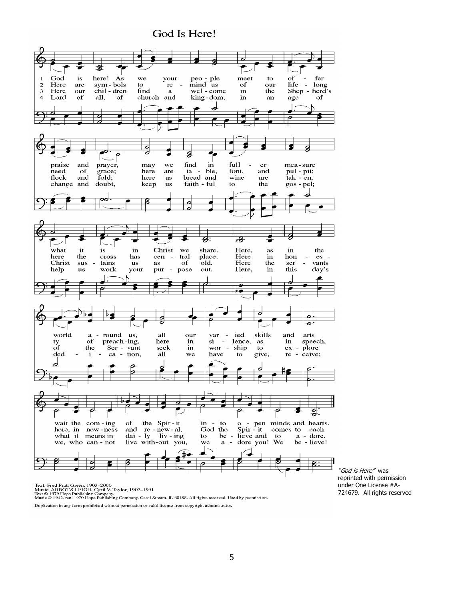## God Is Here!



"God is Here" was reprinted with permission under One License #A-724679. All rights reserved

Text: Fred Pratt Green, 1903–2000<br>Music: ABBOT'S LEIGH, Cyril V. Taylor, 1907–1991<br>Text © 1979 Hope Publishing Company.<br>Music © 1942, ren. 1970 Hope Publishing Company, Carol Stream, IL 60188. All rights reserved. Used by

Duplication in any form prohibited without permission or valid license from copyright administrator.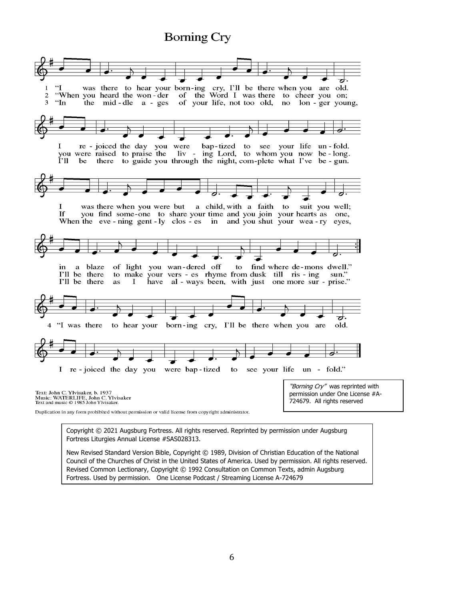# **Borning Cry**



New Revised Standard Version Bible, Copyright © 1989, Division of Christian Education of the National Council of the Churches of Christ in the United States of America. Used by permission. All rights reserved. Revised Common Lectionary, Copyright © 1992 Consultation on Common Texts, admin Augsburg Fortress. Used by permission. One License Podcast / Streaming License A-724679